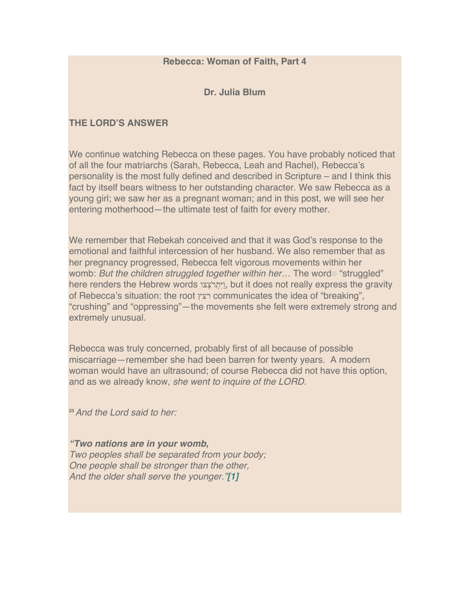## **Rebecca: Woman of Faith, Part 4**

**Dr. Julia Blum**

## **THE LORD'S ANSWER**

We continue watching Rebecca on these pages. You have probably noticed that of all the four matriarchs (Sarah, Rebecca, Leah and Rachel), Rebecca's personality is the most fully defined and described in Scripture – and I think this fact by itself bears witness to her outstanding character. We saw Rebecca as a young girl; we saw her as a pregnant woman; and in this post, we will see her entering motherhood—the ultimate test of faith for every mother.

We remember that Rebekah conceived and that it was God's response to the emotional and faithful intercession of her husband. We also remember that as her pregnancy progressed, Rebecca felt vigorous movements within her **womb:** *But the children struggled together within her...* **The word "struggled"** here renders the Hebrew words וֵיְתִרצָׁצו, but it does not really express the gravity of Rebecca's situation: the root רצץ communicates the idea of "breaking", "crushing" and "oppressing"—the movements she felt were extremely strong and extremely unusual.

Rebecca was truly concerned, probably first of all because of possible miscarriage—remember she had been barren for twenty years. A modern woman would have an ultrasound; of course Rebecca did not have this option, and as we already know, *she went to inquire of the LORD.*

**<sup>23</sup>***And the Lord said to her:*

*"Two nations are in your womb, Two peoples shall be separated from your body; One people shall be stronger than the other, And the older shall serve the younger."[1]*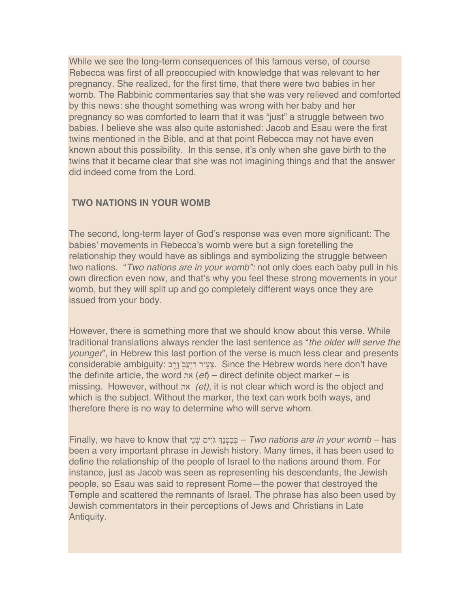While we see the long-term consequences of this famous verse, of course Rebecca was first of all preoccupied with knowledge that was relevant to her pregnancy. She realized, for the first time, that there were two babies in her womb. The Rabbinic commentaries say that she was very relieved and comforted by this news: she thought something was wrong with her baby and her pregnancy so was comforted to learn that it was "just" a struggle between two babies. I believe she was also quite astonished: Jacob and Esau were the first twins mentioned in the Bible, and at that point Rebecca may not have even known about this possibility. In this sense, it's only when she gave birth to the twins that it became clear that she was not imagining things and that the answer did indeed come from the Lord.

## **TWO NATIONS IN YOUR WOMB**

The second, long-term layer of God's response was even more significant: The babies' movements in Rebecca's womb were but a sign foretelling the relationship they would have as siblings and symbolizing the struggle between two nations. "*Two nations are in your womb":* not only does each baby pull in his own direction even now, and that's why you feel these strong movements in your womb, but they will split up and go completely different ways once they are issued from your body.

However, there is something more that we should know about this verse. While traditional translations always render the last sentence as "*the older will serve the younger*", in Hebrew this last portion of the verse is much less clear and presents considerable ambiguity: צעִיר דיעֲבֹן וָרָב. Since the Hebrew words here don't have the definite article, the word את) *et*) – direct definite object marker – is missing. However, without את*) et)*, it is not clear which word is the object and which is the subject. Without the marker, the text can work both ways, and therefore there is no way to determine who will serve whom.

Finally, we have to know that יֵנ ְשׁ יםִיֹ ג ךֵנ ְט ִב ְבּ – *Two nations are in your womb –* has been a very important phrase in Jewish history. Many times, it has been used to define the relationship of the people of Israel to the nations around them. For instance, just as Jacob was seen as representing his descendants, the Jewish people, so Esau was said to represent Rome—the power that destroyed the Temple and scattered the remnants of Israel. The phrase has also been used by Jewish commentators in their perceptions of Jews and Christians in Late Antiquity.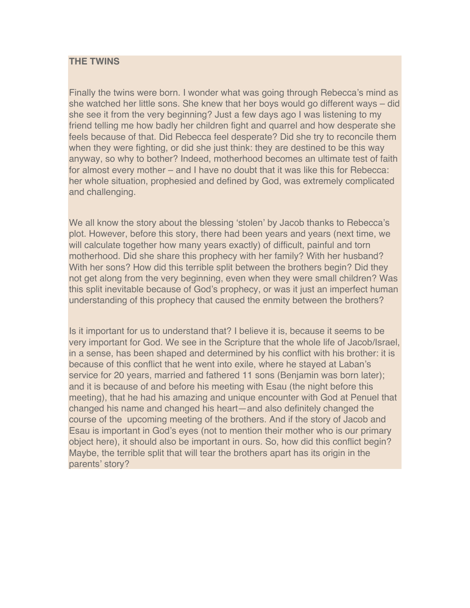## **THE TWINS**

Finally the twins were born. I wonder what was going through Rebecca's mind as she watched her little sons. She knew that her boys would go different ways – did she see it from the very beginning? Just a few days ago I was listening to my friend telling me how badly her children fight and quarrel and how desperate she feels because of that. Did Rebecca feel desperate? Did she try to reconcile them when they were fighting, or did she just think: they are destined to be this way anyway, so why to bother? Indeed, motherhood becomes an ultimate test of faith for almost every mother – and I have no doubt that it was like this for Rebecca: her whole situation, prophesied and defined by God, was extremely complicated and challenging.

We all know the story about the blessing 'stolen' by Jacob thanks to Rebecca's plot. However, before this story, there had been years and years (next time, we will calculate together how many years exactly) of difficult, painful and torn motherhood. Did she share this prophecy with her family? With her husband? With her sons? How did this terrible split between the brothers begin? Did they not get along from the very beginning, even when they were small children? Was this split inevitable because of God's prophecy, or was it just an imperfect human understanding of this prophecy that caused the enmity between the brothers?

Is it important for us to understand that? I believe it is, because it seems to be very important for God. We see in the Scripture that the whole life of Jacob/Israel, in a sense, has been shaped and determined by his conflict with his brother: it is because of this conflict that he went into exile, where he stayed at Laban's service for 20 years, married and fathered 11 sons (Benjamin was born later); and it is because of and before his meeting with Esau (the night before this meeting), that he had his amazing and unique encounter with God at Penuel that changed his name and changed his heart—and also definitely changed the course of the upcoming meeting of the brothers. And if the story of Jacob and Esau is important in God's eyes (not to mention their mother who is our primary object here), it should also be important in ours. So, how did this conflict begin? Maybe, the terrible split that will tear the brothers apart has its origin in the parents' story?